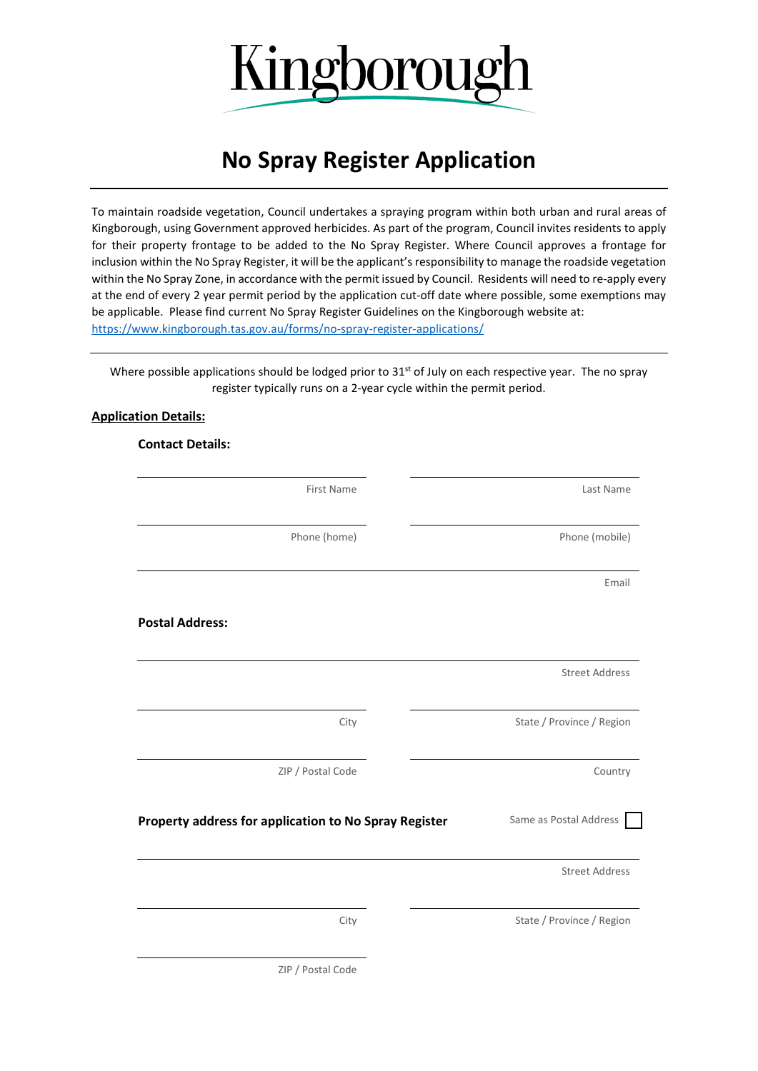

## **No Spray Register Application**

To maintain roadside vegetation, Council undertakes a spraying program within both urban and rural areas of Kingborough, using Government approved herbicides. As part of the program, Council invites residents to apply for their property frontage to be added to the No Spray Register. Where Council approves a frontage for inclusion within the No Spray Register, it will be the applicant's responsibility to manage the roadside vegetation within the No Spray Zone, in accordance with the permit issued by Council. Residents will need to re-apply every at the end of every 2 year permit period by the application cut-off date where possible, some exemptions may be applicable. Please find current No Spray Register Guidelines on the Kingborough website at: <https://www.kingborough.tas.gov.au/forms/no-spray-register-applications/>

Where possible applications should be lodged prior to 31<sup>st</sup> of July on each respective year. The no spray register typically runs on a 2-year cycle within the permit period.

## **Application Details:**

**Contact Details:**

| <b>First Name</b>                                     | Last Name                 |
|-------------------------------------------------------|---------------------------|
| Phone (home)                                          | Phone (mobile)            |
|                                                       | Email                     |
| <b>Postal Address:</b>                                |                           |
|                                                       | <b>Street Address</b>     |
| City                                                  | State / Province / Region |
| ZIP / Postal Code                                     | Country                   |
| Property address for application to No Spray Register | Same as Postal Address    |
|                                                       | <b>Street Address</b>     |
| City                                                  | State / Province / Region |
| ZIP / Postal Code                                     |                           |